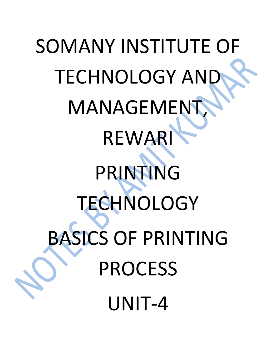# SOMANY INSTITUTE OF TECHNOLOGY AND **MANAGEMENT** REWARI PRINTING **TECHNOLOGY** BASICS OF PRINTING PROCESS UNIT-4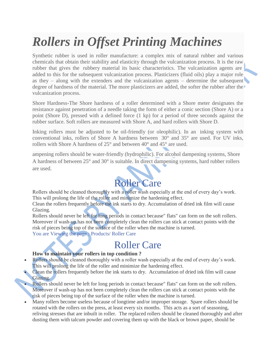## *Rollers in Offset Printing Machines*

Synthetic rubber is used in roller manufacture: a complex mix of natural rubber and various chemicals that obtain their stability and elasticity through the vulcanization process. It is the raw rubber that gives the rubbery material its basic characteristics. The vulcanization agents are added to this for the subsequent vulcanization process. Plasticizers (fluid oils) play a major role as they – along with the extenders and the vulcanization agents – determine the subsequent degree of hardness of the material. The more plasticizers are added, the softer the rubber after the vulcanization process.

Shore Hardness-The Shore hardness of a roller determined with a Shore meter designates the resistance against penetration of a needle taking the form of either a conic section (Shore A) or a point (Shore D), pressed with a defined force (1 kp) for a period of three seconds against the rubber surface. Soft rollers are measured with Shore A, and hard rollers with Shore D.

Inking rollers must be adjusted to be oil-friendly (or oleophilic). In an inking system with conventional inks, rollers of Shore A hardness between 30° and 35° are used. For UV inks, rollers with Shore A hardness of 25° and between 40° and 45° are used.

ampening rollers should be water-friendly (hydrophilic). For alcohol dampening systems, Shore A hardness of between 25° and 30° is suitable. In direct dampening systems, hard rubber rollers are used.

## Roller Care

Rollers should be cleaned thoroughly with a roller wash especially at the end of every day's work. This will prolong the life of the roller and minimize the hardening effect.

Clean the rollers frequently before the ink starts to dry. Accumulation of dried ink film will cause Glazing.

Rollers should never be left for long periods in contact because" flats" can form on the soft rollers. Moreover if wash-up has not been completely clean the rollers can stick at contact points with the risk of pieces being top of the surface of the roller when the machine is turned.

You are Viewing the page : Products/ Roller Care

### Roller Care

#### **How to maintain your rollers in top condition ?**

- Rollers should be cleaned thoroughly with a roller wash especially at the end of every day's work. This will prolong the life of the roller and minimize the hardening effect.
- Clean the rollers frequently before the ink starts to dry. Accumulation of dried ink film will cause Glazing.
- Rollers should never be left for long periods in contact because" flats" can form on the soft rollers. Moreover if wash-up has not been completely clean the rollers can stick at contact points with the risk of pieces being top of the surface of the roller when the machine is turned.
- Many rollers become useless because of longtime and/or improper storage. Spare rollers should be rotated with the rollers on the press, at least every six months. This acts as a sort of seasoning, reliving stresses that are inbuilt in roller. The replaced rollers should be cleaned thoroughly and after dusting them with talcum powder and covering them up with the black or brown paper, should be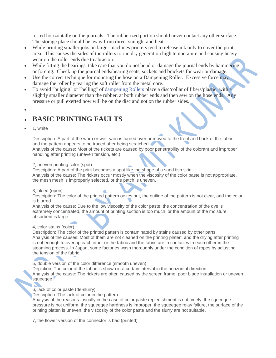rested horizontally on the journals. The rubberized portion should never contact any other surface. The storage place should be away from direct sunlight and heat.

- While printing smaller jobs on larger machines printers tend to release ink only to cover the print area. This causes the sides of the rollers to run dry generation high temperature and causing heavy wear on the roller ends due to abrasion.
- While fitting the bearings, take care that you do not bend or damage the journal ends by hammering or forcing. Check up the journal ends/bearing seats, sockets and brackets for wear or damage.
- Use the correct technique for mounting the hose on a Dampening Roller. Excessive force may damage the roller by tearing the soft roller from the metal core.
- To avoid "bulging" or "belling" of [dampening Rollers](http://sigmarollers.com/dampening-rollers-4) place a disc/collar of fibers/plastic, with a slightly smaller diameter than the rubber, at both rubber ends and then sew on the hose ends. Any pressure or pull exerted now will be on the disc and not on the rubber sides.
- $\bullet$

#### **BASIC PRINTING FAULTS**

1, white

Description: A part of the warp or weft yarn is turned over or moved to the front and back of the fabric, and the pattern appears to be traced after being scratched.

Analysis of the cause: Most of the rickets are caused by poor penetrability of the colorant and improper handling after printing (uneven tension, etc.).

#### 2, uneven printing color (spot)

Description: A part of the print becomes a spot like the shape of a sand fish skin. Analysis of the cause: The rickets occur mostly when the viscosity of the color paste is not appropriate, the mesh mesh is improperly selected, or the patch is uneven.

#### 3, bleed (open)

Description: The color of the printed pattern oozes out, the outline of the pattern is not clear, and the color is blurred.

Analysis of the cause: Due to the low viscosity of the color paste, the concentration of the dye is extremely concentrated, the amount of printing suction is too much, or the amount of the moisture absorbent is large.

#### 4, color stains (color)

Description: The color of the printed pattern is contaminated by stains caused by other parts. Analysis of the causes: Most of them are not cleaned on the printing platen, and the drying after printing is not enough to overlap each other or the fabric and the fabric are in contact with each other in the steaming process. In Japan, some factories wash thoroughly under the condition of ropes by adjusting the tension of the fabric.

5, double version of the color difference (smooth uneven)

Depiction: The color of the fabric is shown in a certain interval in the horizontal direction. Analysis of the cause: The rickets are often caused by the screen frame, poor blade installation or uneven squeegee.

#### 6, lack of color paste (de-slurry)

Description: The lack of color in the pattern.

Analysis of the reasons: usually in the case of color paste replenishment is not timely, the squeegee pressure is not uniform, the squeegee hardness is improper, the squeegee relay failure, the surface of the printing platen is uneven, the viscosity of the color paste and the slurry are not suitable.

7, the flower version of the connector is bad (printed)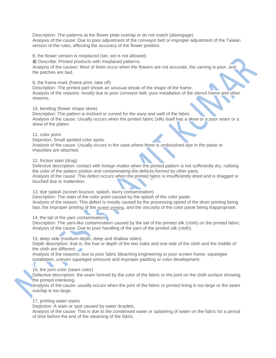Description: The patterns at the flower plate overlap or do not match (disengage). Analysis of the cause: Due to poor adjustment of the conveyor belt or improper adjustment of the Taiwan version of the rules, affecting the accuracy of the flower position.

8, the flower version is misplaced (set, set is not allowed)

疵 Describe: Printed products with misplaced patterns.

Analysis of the causes: Most of them occur when the flowers are not accurate, the carving is poor, and the patches are bad.

9, the frame mark (frame print, take off)

Description: The printed part shows an unusual streak of the shape of the frame. Analysis of the reasons: mostly due to poor conveyor belt, poor installation of the stencil frame and other reasons.

#### 10, bending (flower shape skew)

Description: The pattern is inclined or curved for the warp and weft of the fabric. Analysis of the cause: Usually occurs when the printed fabric (silk) itself has a skew or a poor seam or a skew of the platen.

#### 11, color point

Depiction: Small spotted color spots.

Analysis of the cause: Usually occurs in the case where there is undissolved dye in the paste or impurities are attached.

#### 12, friction stain (drag)

Defective description: contact with foreign matter when the printed pattern is not sufficiently dry, rubbing the color of the pattern portion and contaminating the defects formed by other parts. Analysis of the cause: This defect occurs when the printed fabric is insufficiently dried and is dragged or touched due to inattention.

#### 13, dye splash (screen bounce, splash, slurry contamination)

Description: The stain of the color point caused by the splash of the color paste. Analysis of the reason: This defect is mostly caused by the processing speed of the drum printing being fast, the improper printing of the [screen printing](https://www.xux123.com/index.php/product/index/id/95.html), and the viscosity of the color paste being inappropriate.

#### 14, the tail of the yarn contamination

Description: The yarn-like contamination caused by the tail of the printed silk (cloth) on the printed fabric. Analysis of the cause: Due to poor handling of the yarn of the printed silk (cloth).

#### 15, deep side (medium depth, deep and shallow sides)

Depth description; that is, the hue or depth of the two sides and one side of the cloth and the middle of the cloth are different.

Analysis of the reasons: due to poor fabric bleaching engineering or poor screen frame, squeegee installation, uneven squeegee pressure and improper padding or color development.

#### 16, the joint color (seam color)

Defective description: the seam formed by the color of the fabric or the joint on the cloth surface showing the printed interlining.

Analysis of the cause: usually occurs when the joint of the fabric or printed lining is too large or the seam overlap is too large.

#### 17, printing water stains

Depiction: A stain or spot caused by water droplets.

Analysis of the cause: This is due to the condensed water or splashing of water on the fabric for a period of time before the end of the steaming of the fabric.